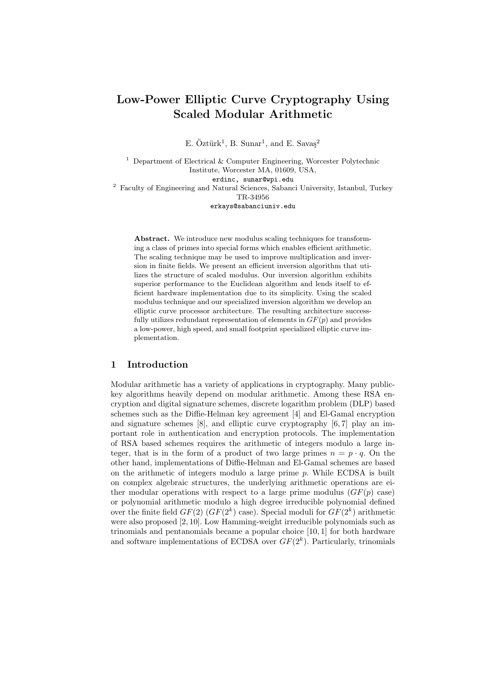# Low-Power Elliptic Curve Cryptography Using Scaled Modular Arithmetic

E. Öztürk<sup>1</sup>, B. Sunar<sup>1</sup>, and E. Savaş<sup>2</sup>

<sup>1</sup> Department of Electrical  $\&$  Computer Engineering, Worcester Polytechnic Institute, Worcester MA, 01609, USA, erdinc, sunar@wpi.edu  $^{\rm 2}$  Faculty of Engineering and Natural Sciences, Sabanci University, Istanbul, Turkey TR-34956

erkays@sabanciuniv.edu

Abstract. We introduce new modulus scaling techniques for transforming a class of primes into special forms which enables efficient arithmetic. The scaling technique may be used to improve multiplication and inversion in finite fields. We present an efficient inversion algorithm that utilizes the structure of scaled modulus. Our inversion algorithm exhibits superior performance to the Euclidean algorithm and lends itself to efficient hardware implementation due to its simplicity. Using the scaled modulus technique and our specialized inversion algorithm we develop an elliptic curve processor architecture. The resulting architecture successfully utilizes redundant representation of elements in  $GF(p)$  and provides a low-power, high speed, and small footprint specialized elliptic curve implementation.

## 1 Introduction

Modular arithmetic has a variety of applications in cryptography. Many publickey algorithms heavily depend on modular arithmetic. Among these RSA encryption and digital signature schemes, discrete logarithm problem (DLP) based schemes such as the Diffie-Helman key agreement [4] and El-Gamal encryption and signature schemes [8], and elliptic curve cryptography [6, 7] play an important role in authentication and encryption protocols. The implementation of RSA based schemes requires the arithmetic of integers modulo a large integer, that is in the form of a product of two large primes  $n = p \cdot q$ . On the other hand, implementations of Diffie-Helman and El-Gamal schemes are based on the arithmetic of integers modulo a large prime  $p$ . While ECDSA is built on complex algebraic structures, the underlying arithmetic operations are either modular operations with respect to a large prime modulus  $(GF(p)$  case) or polynomial arithmetic modulo a high degree irreducible polynomial defined over the finite field  $GF(2)$   $(GF(2^k)$  case). Special moduli for  $GF(2^k)$  arithmetic were also proposed [2, 10]. Low Hamming-weight irreducible polynomials such as trinomials and pentanomials became a popular choice [10, 1] for both hardware and software implementations of ECDSA over  $GF(2<sup>k</sup>)$ . Particularly, trinomials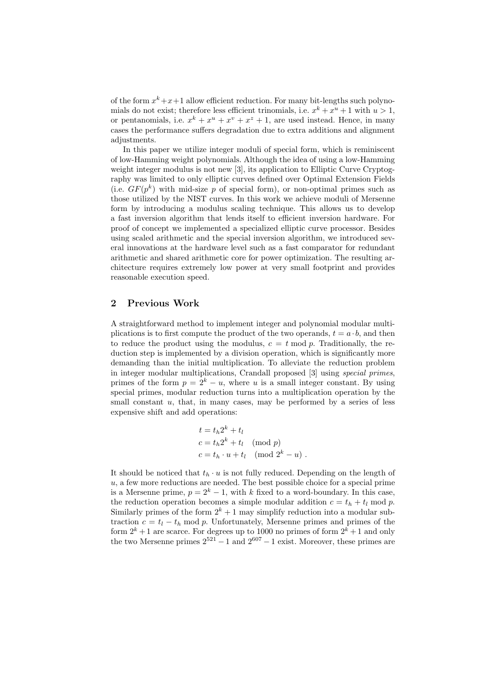of the form  $x^k + x + 1$  allow efficient reduction. For many bit-lengths such polynomials do not exist; therefore less efficient trinomials, i.e.  $x^k + x^u + 1$  with  $u > 1$ , or pentanomials, i.e.  $x^k + x^u + x^v + x^z + 1$ , are used instead. Hence, in many cases the performance suffers degradation due to extra additions and alignment adjustments.

In this paper we utilize integer moduli of special form, which is reminiscent of low-Hamming weight polynomials. Although the idea of using a low-Hamming weight integer modulus is not new [3], its application to Elliptic Curve Cryptography was limited to only elliptic curves defined over Optimal Extension Fields (i.e.  $GF(p^k)$  with mid-size p of special form), or non-optimal primes such as those utilized by the NIST curves. In this work we achieve moduli of Mersenne form by introducing a modulus scaling technique. This allows us to develop a fast inversion algorithm that lends itself to efficient inversion hardware. For proof of concept we implemented a specialized elliptic curve processor. Besides using scaled arithmetic and the special inversion algorithm, we introduced several innovations at the hardware level such as a fast comparator for redundant arithmetic and shared arithmetic core for power optimization. The resulting architecture requires extremely low power at very small footprint and provides reasonable execution speed.

#### 2 Previous Work

A straightforward method to implement integer and polynomial modular multiplications is to first compute the product of the two operands,  $t = a \cdot b$ , and then to reduce the product using the modulus,  $c = t \mod p$ . Traditionally, the reduction step is implemented by a division operation, which is significantly more demanding than the initial multiplication. To alleviate the reduction problem in integer modular multiplications, Crandall proposed [3] using special primes, primes of the form  $p = 2<sup>k</sup> - u$ , where u is a small integer constant. By using special primes, modular reduction turns into a multiplication operation by the small constant  $u$ , that, in many cases, may be performed by a series of less expensive shift and add operations:

$$
t = th2k + tl
$$
  
\n
$$
c = th2k + tl \pmod{p}
$$
  
\n
$$
c = th \cdot u + tl \pmod{2k - u}.
$$

It should be noticed that  $t_h \cdot u$  is not fully reduced. Depending on the length of  $u$ , a few more reductions are needed. The best possible choice for a special prime is a Mersenne prime,  $p = 2<sup>k</sup> - 1$ , with k fixed to a word-boundary. In this case, the reduction operation becomes a simple modular addition  $c = t_h + t_l \mod p$ . Similarly primes of the form  $2^k + 1$  may simplify reduction into a modular subtraction  $c = t_l - t_h \mod p$ . Unfortunately, Mersenne primes and primes of the form  $2^k + 1$  are scarce. For degrees up to 1000 no primes of form  $2^k + 1$  and only the two Mersenne primes  $2^{521} - 1$  and  $2^{607} - 1$  exist. Moreover, these primes are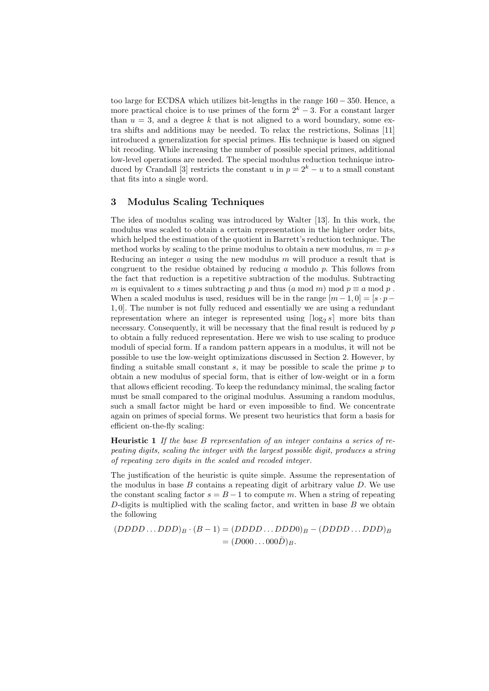too large for ECDSA which utilizes bit-lengths in the range 160 − 350. Hence, a more practical choice is to use primes of the form  $2<sup>k</sup> - 3$ . For a constant larger than  $u = 3$ , and a degree k that is not aligned to a word boundary, some extra shifts and additions may be needed. To relax the restrictions, Solinas [11] introduced a generalization for special primes. His technique is based on signed bit recoding. While increasing the number of possible special primes, additional low-level operations are needed. The special modulus reduction technique introduced by Crandall [3] restricts the constant u in  $p = 2<sup>k</sup> - u$  to a small constant that fits into a single word.

#### 3 Modulus Scaling Techniques

The idea of modulus scaling was introduced by Walter [13]. In this work, the modulus was scaled to obtain a certain representation in the higher order bits, which helped the estimation of the quotient in Barrett's reduction technique. The method works by scaling to the prime modulus to obtain a new modulus,  $m = p \cdot s$ Reducing an integer  $a$  using the new modulus  $m$  will produce a result that is congruent to the residue obtained by reducing a modulo  $p$ . This follows from the fact that reduction is a repetitive subtraction of the modulus. Subtracting m is equivalent to s times subtracting p and thus  $(a \mod m) \mod p \equiv a \mod p$ . When a scaled modulus is used, residues will be in the range  $[m-1,0] = [s \cdot p -$ 1, 0]. The number is not fully reduced and essentially we are using a redundant representation where an integer is represented using  $\lceil \log_2 s \rceil$  more bits than necessary. Consequently, it will be necessary that the final result is reduced by  $p$ to obtain a fully reduced representation. Here we wish to use scaling to produce moduli of special form. If a random pattern appears in a modulus, it will not be possible to use the low-weight optimizations discussed in Section 2. However, by finding a suitable small constant  $s$ , it may be possible to scale the prime  $p$  to obtain a new modulus of special form, that is either of low-weight or in a form that allows efficient recoding. To keep the redundancy minimal, the scaling factor must be small compared to the original modulus. Assuming a random modulus, such a small factor might be hard or even impossible to find. We concentrate again on primes of special forms. We present two heuristics that form a basis for efficient on-the-fly scaling:

Heuristic 1 If the base B representation of an integer contains a series of repeating digits, scaling the integer with the largest possible digit, produces a string of repeating zero digits in the scaled and recoded integer.

The justification of the heuristic is quite simple. Assume the representation of the modulus in base  $B$  contains a repeating digit of arbitrary value  $D$ . We use the constant scaling factor  $s = B - 1$  to compute m. When a string of repeating D-digits is multiplied with the scaling factor, and written in base  $B$  we obtain the following

$$
(DDDD...DDD)B \cdot (B-1) = (DDDD...DDD)B - (DDDD...DDD)B
$$

$$
= (D000...000\bar{D})B.
$$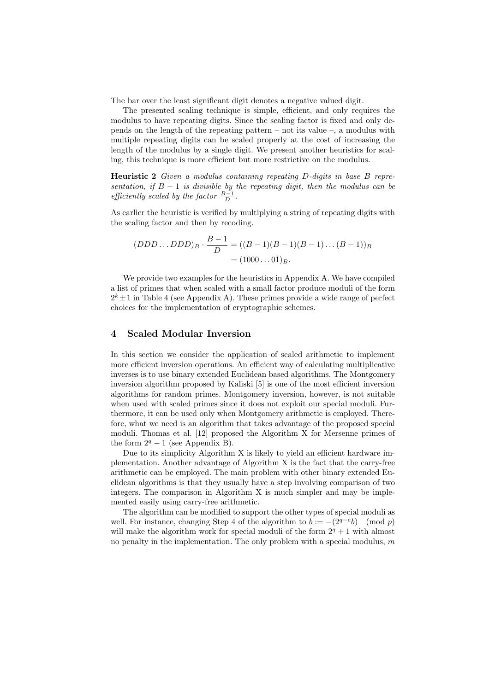The bar over the least significant digit denotes a negative valued digit.

The presented scaling technique is simple, efficient, and only requires the modulus to have repeating digits. Since the scaling factor is fixed and only depends on the length of the repeating pattern – not its value  $-$ , a modulus with multiple repeating digits can be scaled properly at the cost of increasing the length of the modulus by a single digit. We present another heuristics for scaling, this technique is more efficient but more restrictive on the modulus.

Heuristic 2 Given a modulus containing repeating D-digits in base B representation, if  $B-1$  is divisible by the repeating digit, then the modulus can be efficiently scaled by the factor  $\frac{B-1}{D}$ .

As earlier the heuristic is verified by multiplying a string of repeating digits with the scaling factor and then by recoding.

$$
(DDD...DDD)_B \cdot \frac{B-1}{D} = ((B-1)(B-1)(B-1)...(B-1))_B
$$

$$
= (1000...0\overline{1})_B.
$$

We provide two examples for the heuristics in Appendix A. We have compiled a list of primes that when scaled with a small factor produce moduli of the form  $2^k \pm 1$  in Table 4 (see Appendix A). These primes provide a wide range of perfect choices for the implementation of cryptographic schemes.

## 4 Scaled Modular Inversion

In this section we consider the application of scaled arithmetic to implement more efficient inversion operations. An efficient way of calculating multiplicative inverses is to use binary extended Euclidean based algorithms. The Montgomery inversion algorithm proposed by Kaliski [5] is one of the most efficient inversion algorithms for random primes. Montgomery inversion, however, is not suitable when used with scaled primes since it does not exploit our special moduli. Furthermore, it can be used only when Montgomery arithmetic is employed. Therefore, what we need is an algorithm that takes advantage of the proposed special moduli. Thomas et al. [12] proposed the Algorithm X for Mersenne primes of the form  $2^q - 1$  (see Appendix B).

Due to its simplicity Algorithm X is likely to yield an efficient hardware implementation. Another advantage of Algorithm X is the fact that the carry-free arithmetic can be employed. The main problem with other binary extended Euclidean algorithms is that they usually have a step involving comparison of two integers. The comparison in Algorithm X is much simpler and may be implemented easily using carry-free arithmetic.

The algorithm can be modified to support the other types of special moduli as well. For instance, changing Step 4 of the algorithm to  $b := -(2^{q-e}b) \pmod{p}$ will make the algorithm work for special moduli of the form  $2<sup>q</sup> + 1$  with almost no penalty in the implementation. The only problem with a special modulus,  $m$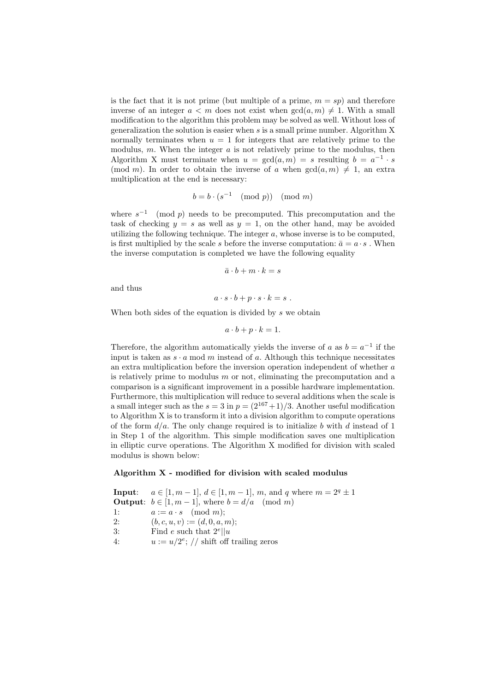is the fact that it is not prime (but multiple of a prime,  $m = sp$ ) and therefore inverse of an integer  $a < m$  does not exist when  $gcd(a, m) \neq 1$ . With a small modification to the algorithm this problem may be solved as well. Without loss of generalization the solution is easier when  $s$  is a small prime number. Algorithm  $X$ normally terminates when  $u = 1$  for integers that are relatively prime to the modulus, m. When the integer  $a$  is not relatively prime to the modulus, then Algorithm X must terminate when  $u = \gcd(a,m) = s$  resulting  $b = a^{-1} \cdot s$ (mod m). In order to obtain the inverse of a when  $gcd(a, m) \neq 1$ , an extra multiplication at the end is necessary:

$$
b = b \cdot (s^{-1} \pmod{p}) \pmod{m}
$$

where  $s^{-1}$  (mod p) needs to be precomputed. This precomputation and the task of checking  $y = s$  as well as  $y = 1$ , on the other hand, may be avoided utilizing the following technique. The integer  $a$ , whose inverse is to be computed, is first multiplied by the scale s before the inverse computation:  $\bar{a} = a \cdot s$ . When the inverse computation is completed we have the following equality

$$
\bar{a} \cdot b + m \cdot k = s
$$

and thus

$$
a\cdot s\cdot b+p\cdot s\cdot k=s.
$$

When both sides of the equation is divided by s we obtain

$$
a \cdot b + p \cdot k = 1.
$$

Therefore, the algorithm automatically yields the inverse of a as  $b = a^{-1}$  if the input is taken as  $s \cdot a \mod m$  instead of a. Although this technique necessitates an extra multiplication before the inversion operation independent of whether a is relatively prime to modulus  $m$  or not, eliminating the precomputation and a comparison is a significant improvement in a possible hardware implementation. Furthermore, this multiplication will reduce to several additions when the scale is a small integer such as the  $s = 3$  in  $p = (2^{167}+1)/3$ . Another useful modification to Algorithm X is to transform it into a division algorithm to compute operations of the form  $d/a$ . The only change required is to initialize b with d instead of 1 in Step 1 of the algorithm. This simple modification saves one multiplication in elliptic curve operations. The Algorithm X modified for division with scaled modulus is shown below:

### Algorithm X - modified for division with scaled modulus

**Input:**  $a \in [1, m-1], d \in [1, m-1], m$ , and q where  $m = 2<sup>q</sup> \pm 1$ **Output**:  $b \in [1, m-1]$ , where  $b = d/a \pmod{m}$ 1:  $a := a \cdot s \pmod{m};$ 2:  $(b, c, u, v) := (d, 0, a, m);$ 3: Find e such that  $2^e || u$ 4:  $u := u/2^e$ ; // shift off trailing zeros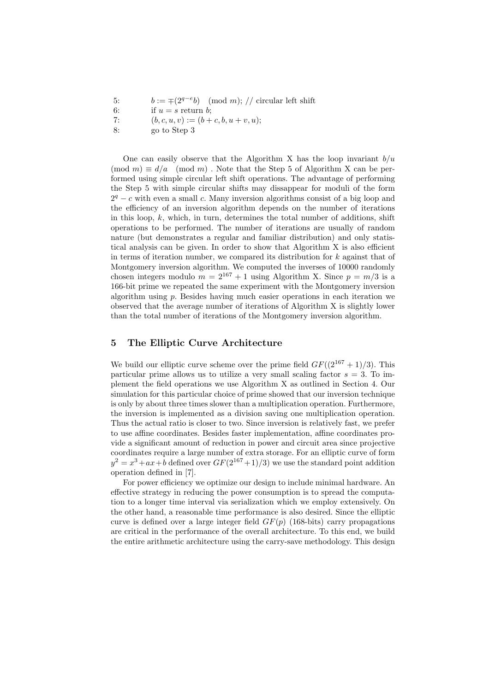5:  $b := \pm (2^{q-e}b) \pmod{m}$ ; // circular left shift

- 6: if  $u = s$  return b;
- 7:  $(b, c, u, v) := (b + c, b, u + v, u);$
- 8: go to Step 3

One can easily observe that the Algorithm X has the loop invariant  $b/u$  $(\text{mod } m) \equiv d/a \pmod{m}$ . Note that the Step 5 of Algorithm X can be performed using simple circular left shift operations. The advantage of performing the Step 5 with simple circular shifts may dissappear for moduli of the form  $2<sup>q</sup> - c$  with even a small c. Many inversion algorithms consist of a big loop and the efficiency of an inversion algorithm depends on the number of iterations in this loop,  $k$ , which, in turn, determines the total number of additions, shift operations to be performed. The number of iterations are usually of random nature (but demonstrates a regular and familiar distribution) and only statistical analysis can be given. In order to show that Algorithm X is also efficient in terms of iteration number, we compared its distribution for  $k$  against that of Montgomery inversion algorithm. We computed the inverses of 10000 randomly chosen integers modulo  $m = 2^{167} + 1$  using Algorithm X. Since  $p = m/3$  is a 166-bit prime we repeated the same experiment with the Montgomery inversion algorithm using p. Besides having much easier operations in each iteration we observed that the average number of iterations of Algorithm X is slightly lower than the total number of iterations of the Montgomery inversion algorithm.

#### 5 The Elliptic Curve Architecture

We build our elliptic curve scheme over the prime field  $GF((2^{167}+1)/3)$ . This particular prime allows us to utilize a very small scaling factor  $s = 3$ . To implement the field operations we use Algorithm X as outlined in Section 4. Our simulation for this particular choice of prime showed that our inversion technique is only by about three times slower than a multiplication operation. Furthermore, the inversion is implemented as a division saving one multiplication operation. Thus the actual ratio is closer to two. Since inversion is relatively fast, we prefer to use affine coordinates. Besides faster implementation, affine coordinates provide a significant amount of reduction in power and circuit area since projective coordinates require a large number of extra storage. For an elliptic curve of form  $y^2 = x^3 + ax + b$  defined over  $GF(2^{167}+1)/3$  we use the standard point addition operation defined in [7].

For power efficiency we optimize our design to include minimal hardware. An effective strategy in reducing the power consumption is to spread the computation to a longer time interval via serialization which we employ extensively. On the other hand, a reasonable time performance is also desired. Since the elliptic curve is defined over a large integer field  $GF(p)$  (168-bits) carry propagations are critical in the performance of the overall architecture. To this end, we build the entire arithmetic architecture using the carry-save methodology. This design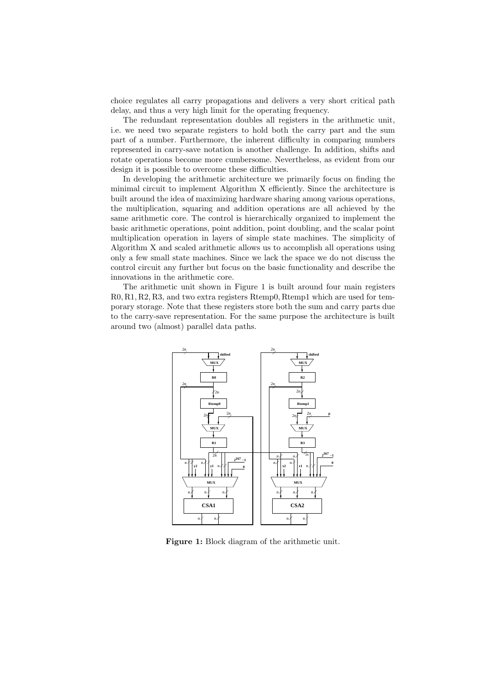choice regulates all carry propagations and delivers a very short critical path delay, and thus a very high limit for the operating frequency.

The redundant representation doubles all registers in the arithmetic unit, i.e. we need two separate registers to hold both the carry part and the sum part of a number. Furthermore, the inherent difficulty in comparing numbers represented in carry-save notation is another challenge. In addition, shifts and rotate operations become more cumbersome. Nevertheless, as evident from our design it is possible to overcome these difficulties.

In developing the arithmetic architecture we primarily focus on finding the minimal circuit to implement Algorithm X efficiently. Since the architecture is built around the idea of maximizing hardware sharing among various operations, the multiplication, squaring and addition operations are all achieved by the same arithmetic core. The control is hierarchically organized to implement the basic arithmetic operations, point addition, point doubling, and the scalar point multiplication operation in layers of simple state machines. The simplicity of Algorithm X and scaled arithmetic allows us to accomplish all operations using only a few small state machines. Since we lack the space we do not discuss the control circuit any further but focus on the basic functionality and describe the innovations in the arithmetic core.

The arithmetic unit shown in Figure 1 is built around four main registers R0, R1, R2, R3, and two extra registers Rtemp0, Rtemp1 which are used for temporary storage. Note that these registers store both the sum and carry parts due to the carry-save representation. For the same purpose the architecture is built around two (almost) parallel data paths.



Figure 1: Block diagram of the arithmetic unit.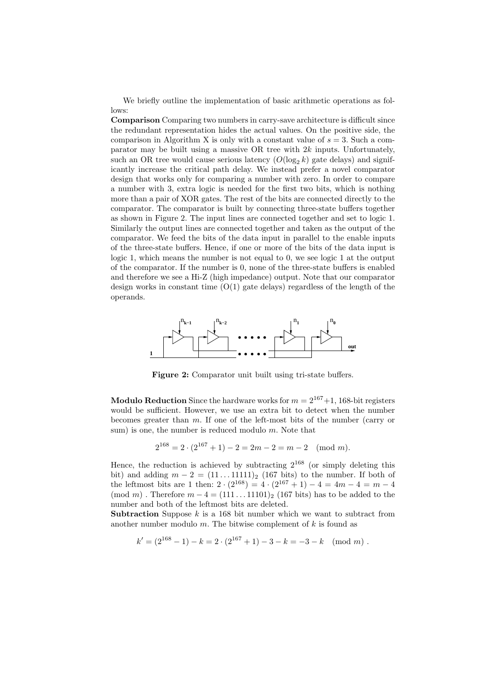We briefly outline the implementation of basic arithmetic operations as follows:

Comparison Comparing two numbers in carry-save architecture is difficult since the redundant representation hides the actual values. On the positive side, the comparison in Algorithm X is only with a constant value of  $s = 3$ . Such a comparator may be built using a massive OR tree with  $2k$  inputs. Unfortunately, such an OR tree would cause serious latency  $(O(\log_2 k)$  gate delays) and significantly increase the critical path delay. We instead prefer a novel comparator design that works only for comparing a number with zero. In order to compare a number with 3, extra logic is needed for the first two bits, which is nothing more than a pair of XOR gates. The rest of the bits are connected directly to the comparator. The comparator is built by connecting three-state buffers together as shown in Figure 2. The input lines are connected together and set to logic 1. Similarly the output lines are connected together and taken as the output of the comparator. We feed the bits of the data input in parallel to the enable inputs of the three-state buffers. Hence, if one or more of the bits of the data input is logic 1, which means the number is not equal to 0, we see logic 1 at the output of the comparator. If the number is 0, none of the three-state buffers is enabled and therefore we see a Hi-Z (high impedance) output. Note that our comparator design works in constant time  $(O(1)$  gate delays) regardless of the length of the operands.



Figure 2: Comparator unit built using tri-state buffers.

**Modulo Reduction** Since the hardware works for  $m = 2^{167}+1$ , 168-bit registers would be sufficient. However, we use an extra bit to detect when the number becomes greater than m. If one of the left-most bits of the number (carry or sum) is one, the number is reduced modulo  $m$ . Note that

$$
2^{168} = 2 \cdot (2^{167} + 1) - 2 = 2m - 2 = m - 2 \pmod{m}.
$$

Hence, the reduction is achieved by subtracting  $2^{168}$  (or simply deleting this bit) and adding  $m - 2 = (11 \dots 11111)_2$  (167 bits) to the number. If both of the leftmost bits are 1 then:  $2 \cdot (2^{168}) = 4 \cdot (2^{167} + 1) - 4 = 4m - 4 = m - 4$ (mod m). Therefore  $m-4 = (111 \dots 11101)_2$  (167 bits) has to be added to the number and both of the leftmost bits are deleted.

Subtraction Suppose  $k$  is a 168 bit number which we want to subtract from another number modulo  $m$ . The bitwise complement of  $k$  is found as

$$
k' = (2^{168} - 1) - k = 2 \cdot (2^{167} + 1) - 3 - k = -3 - k \pmod{m}.
$$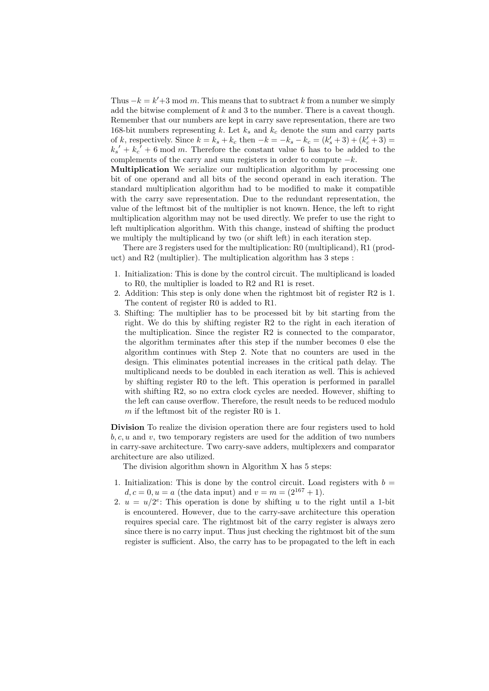Thus  $-k = k' + 3 \mod m$ . This means that to subtract k from a number we simply add the bitwise complement of  $k$  and 3 to the number. There is a caveat though. Remember that our numbers are kept in carry save representation, there are two 168-bit numbers representing k. Let  $k_s$  and  $k_c$  denote the sum and carry parts of k, respectively. Since  $k = k_s + k_c$  then  $-k = -k_s - k_c = (k'_s + 3) + (k'_c + 3) =$  $k_s' + k_c' + 6$  mod m. Therefore the constant value 6 has to be added to the complements of the carry and sum registers in order to compute  $-k$ .

Multiplication We serialize our multiplication algorithm by processing one bit of one operand and all bits of the second operand in each iteration. The standard multiplication algorithm had to be modified to make it compatible with the carry save representation. Due to the redundant representation, the value of the leftmost bit of the multiplier is not known. Hence, the left to right multiplication algorithm may not be used directly. We prefer to use the right to left multiplication algorithm. With this change, instead of shifting the product we multiply the multiplicand by two (or shift left) in each iteration step.

There are 3 registers used for the multiplication: R0 (multiplicand), R1 (product) and R2 (multiplier). The multiplication algorithm has 3 steps :

- 1. Initialization: This is done by the control circuit. The multiplicand is loaded to R0, the multiplier is loaded to R2 and R1 is reset.
- 2. Addition: This step is only done when the rightmost bit of register R2 is 1. The content of register R0 is added to R1.
- 3. Shifting: The multiplier has to be processed bit by bit starting from the right. We do this by shifting register R2 to the right in each iteration of the multiplication. Since the register R2 is connected to the comparator, the algorithm terminates after this step if the number becomes 0 else the algorithm continues with Step 2. Note that no counters are used in the design. This eliminates potential increases in the critical path delay. The multiplicand needs to be doubled in each iteration as well. This is achieved by shifting register R0 to the left. This operation is performed in parallel with shifting R2, so no extra clock cycles are needed. However, shifting to the left can cause overflow. Therefore, the result needs to be reduced modulo m if the leftmost bit of the register R0 is 1.

Division To realize the division operation there are four registers used to hold  $b, c, u$  and v, two temporary registers are used for the addition of two numbers in carry-save architecture. Two carry-save adders, multiplexers and comparator architecture are also utilized.

The division algorithm shown in Algorithm X has 5 steps:

- 1. Initialization: This is done by the control circuit. Load registers with  $b =$  $d, c = 0, u = a$  (the data input) and  $v = m = (2^{167} + 1)$ .
- 2.  $u = u/2^e$ : This operation is done by shifting u to the right until a 1-bit is encountered. However, due to the carry-save architecture this operation requires special care. The rightmost bit of the carry register is always zero since there is no carry input. Thus just checking the rightmost bit of the sum register is sufficient. Also, the carry has to be propagated to the left in each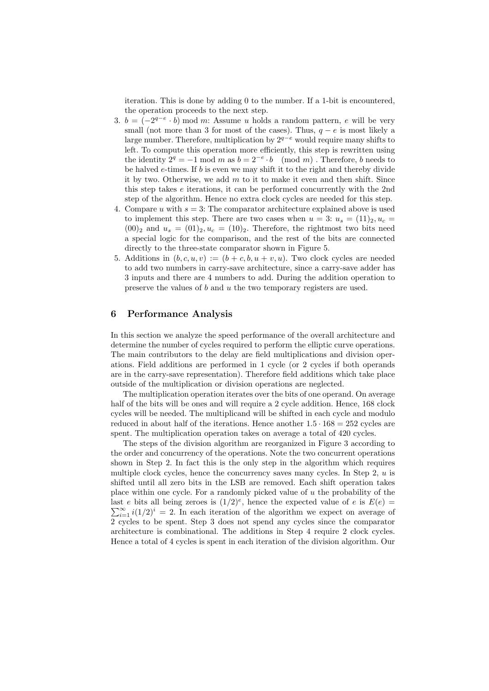iteration. This is done by adding 0 to the number. If a 1-bit is encountered, the operation proceeds to the next step.

- 3.  $b = (-2^{q-e} \cdot b) \mod m$ : Assume u holds a random pattern, e will be very small (not more than 3 for most of the cases). Thus,  $q - e$  is most likely a large number. Therefore, multiplication by  $2^{q-e}$  would require many shifts to left. To compute this operation more efficiently, this step is rewritten using the identity  $2^q = -1$  mod m as  $b = 2^{-e} \cdot b \pmod{m}$ . Therefore, b needs to be halved  $e$ -times. If  $b$  is even we may shift it to the right and thereby divide it by two. Otherwise, we add  $m$  to it to make it even and then shift. Since this step takes e iterations, it can be performed concurrently with the 2nd step of the algorithm. Hence no extra clock cycles are needed for this step.
- 4. Compare u with  $s = 3$ : The comparator architecture explained above is used to implement this step. There are two cases when  $u = 3: u_s = (11)_2, u_c =$  $(00)_2$  and  $u_s = (01)_2, u_c = (10)_2$ . Therefore, the rightmost two bits need a special logic for the comparison, and the rest of the bits are connected directly to the three-state comparator shown in Figure 5.
- 5. Additions in  $(b, c, u, v) := (b + c, b, u + v, u)$ . Two clock cycles are needed to add two numbers in carry-save architecture, since a carry-save adder has 3 inputs and there are 4 numbers to add. During the addition operation to preserve the values of b and u the two temporary registers are used.

#### 6 Performance Analysis

In this section we analyze the speed performance of the overall architecture and determine the number of cycles required to perform the elliptic curve operations. The main contributors to the delay are field multiplications and division operations. Field additions are performed in 1 cycle (or 2 cycles if both operands are in the carry-save representation). Therefore field additions which take place outside of the multiplication or division operations are neglected.

The multiplication operation iterates over the bits of one operand. On average half of the bits will be ones and will require a 2 cycle addition. Hence, 168 clock cycles will be needed. The multiplicand will be shifted in each cycle and modulo reduced in about half of the iterations. Hence another  $1.5 \cdot 168 = 252$  cycles are spent. The multiplication operation takes on average a total of 420 cycles.

The steps of the division algorithm are reorganized in Figure 3 according to the order and concurrency of the operations. Note the two concurrent operations shown in Step 2. In fact this is the only step in the algorithm which requires multiple clock cycles, hence the concurrency saves many cycles. In Step  $2, u$  is shifted until all zero bits in the LSB are removed. Each shift operation takes place within one cycle. For a randomly picked value of  $u$  the probability of the last e bits all being zeroes is  $(1/2)^e$ , hence the expected value of e is  $E(e)$  =  $\sum_{i=1}^{\infty} i(1/2)^i = 2$ . In each iteration of the algorithm we expect on average of 2 cycles to be spent. Step 3 does not spend any cycles since the comparator architecture is combinational. The additions in Step 4 require 2 clock cycles. Hence a total of 4 cycles is spent in each iteration of the division algorithm. Our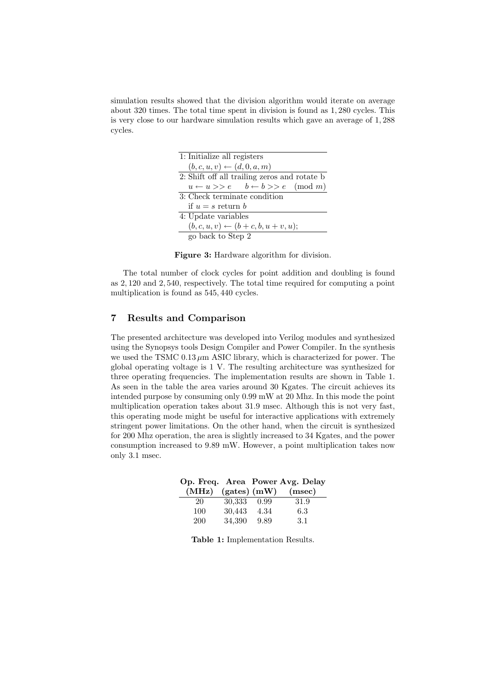simulation results showed that the division algorithm would iterate on average about 320 times. The total time spent in division is found as 1, 280 cycles. This is very close to our hardware simulation results which gave an average of 1, 288 cycles.

| 1: Initialize all registers                                 |
|-------------------------------------------------------------|
| $(b, c, u, v) \leftarrow (d, 0, a, m)$                      |
| 2: Shift off all trailing zeros and rotate b                |
| $u \leftarrow u \gt\gt e$ $b \leftarrow b \gt\gt e$ (mod m) |
| 3: Check terminate condition                                |
| if $u = s$ return b                                         |
| 4: Update variables                                         |
| $(b, c, u, v) \leftarrow (b + c, b, u + v, u);$             |
| go back to Step 2                                           |

Figure 3: Hardware algorithm for division.

The total number of clock cycles for point addition and doubling is found as 2, 120 and 2, 540, respectively. The total time required for computing a point multiplication is found as 545, 440 cycles.

## 7 Results and Comparison

The presented architecture was developed into Verilog modules and synthesized using the Synopsys tools Design Compiler and Power Compiler. In the synthesis we used the TSMC  $0.13 \mu m$  ASIC library, which is characterized for power. The global operating voltage is 1 V. The resulting architecture was synthesized for three operating frequencies. The implementation results are shown in Table 1. As seen in the table the area varies around 30 Kgates. The circuit achieves its intended purpose by consuming only 0.99 mW at 20 Mhz. In this mode the point multiplication operation takes about 31.9 msec. Although this is not very fast, this operating mode might be useful for interactive applications with extremely stringent power limitations. On the other hand, when the circuit is synthesized for 200 Mhz operation, the area is slightly increased to 34 Kgates, and the power consumption increased to 9.89 mW. However, a point multiplication takes now only 3.1 msec.

|                        |        |      | Op. Freq. Area Power Avg. Delay |
|------------------------|--------|------|---------------------------------|
| $(MHz)$ (gates) $(mW)$ |        |      | (msec)                          |
| 20                     | 30,333 | 0.99 | 31.9                            |
| 100                    | 30,443 | 4.34 | 6.3                             |
| 200                    | 34,390 | 9.89 | 3.1                             |

Table 1: Implementation Results.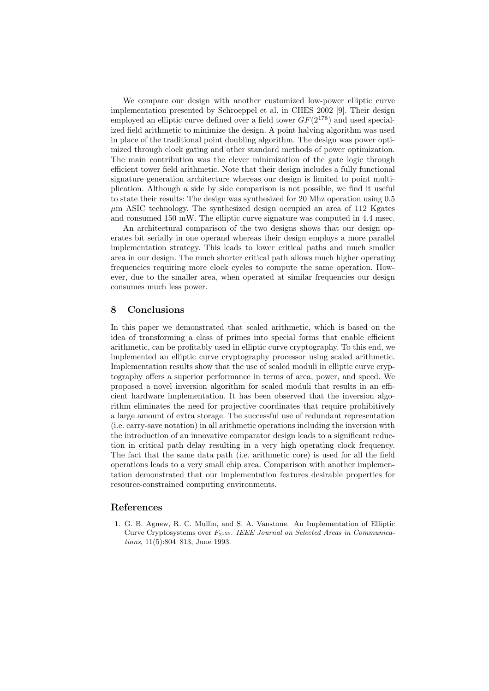We compare our design with another customized low-power elliptic curve implementation presented by Schroeppel et al. in CHES 2002 [9]. Their design employed an elliptic curve defined over a field tower  $GF(2^{178})$  and used specialized field arithmetic to minimize the design. A point halving algorithm was used in place of the traditional point doubling algorithm. The design was power optimized through clock gating and other standard methods of power optimization. The main contribution was the clever minimization of the gate logic through efficient tower field arithmetic. Note that their design includes a fully functional signature generation architecture whereas our design is limited to point multiplication. Although a side by side comparison is not possible, we find it useful to state their results: The design was synthesized for 20 Mhz operation using 0.5  $\mu$ m ASIC technology. The synthesized design occupied an area of 112 Kgates and consumed 150 mW. The elliptic curve signature was computed in 4.4 msec.

An architectural comparison of the two designs shows that our design operates bit serially in one operand whereas their design employs a more parallel implementation strategy. This leads to lower critical paths and much smaller area in our design. The much shorter critical path allows much higher operating frequencies requiring more clock cycles to compute the same operation. However, due to the smaller area, when operated at similar frequencies our design consumes much less power.

#### 8 Conclusions

In this paper we demonstrated that scaled arithmetic, which is based on the idea of transforming a class of primes into special forms that enable efficient arithmetic, can be profitably used in elliptic curve cryptography. To this end, we implemented an elliptic curve cryptography processor using scaled arithmetic. Implementation results show that the use of scaled moduli in elliptic curve cryptography offers a superior performance in terms of area, power, and speed. We proposed a novel inversion algorithm for scaled moduli that results in an efficient hardware implementation. It has been observed that the inversion algorithm eliminates the need for projective coordinates that require prohibitively a large amount of extra storage. The successful use of redundant representation (i.e. carry-save notation) in all arithmetic operations including the inversion with the introduction of an innovative comparator design leads to a significant reduction in critical path delay resulting in a very high operating clock frequency. The fact that the same data path (i.e. arithmetic core) is used for all the field operations leads to a very small chip area. Comparison with another implementation demonstrated that our implementation features desirable properties for resource-constrained computing environments.

## References

1. G. B. Agnew, R. C. Mullin, and S. A. Vanstone. An Implementation of Elliptic Curve Cryptosystems over  $F_{2^{155}}$ . IEEE Journal on Selected Areas in Communications, 11(5):804–813, June 1993.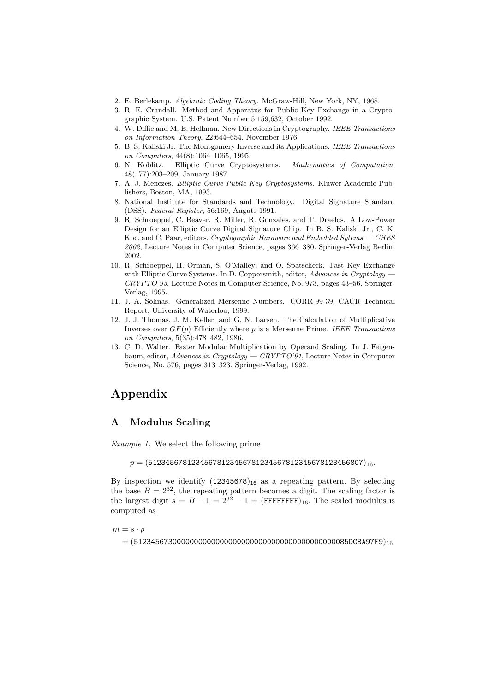- 2. E. Berlekamp. Algebraic Coding Theory. McGraw-Hill, New York, NY, 1968.
- 3. R. E. Crandall. Method and Apparatus for Public Key Exchange in a Cryptographic System. U.S. Patent Number 5,159,632, October 1992.
- 4. W. Diffie and M. E. Hellman. New Directions in Cryptography. IEEE Transactions on Information Theory, 22:644–654, November 1976.
- 5. B. S. Kaliski Jr. The Montgomery Inverse and its Applications. IEEE Transactions on Computers, 44(8):1064–1065, 1995.
- 6. N. Koblitz. Elliptic Curve Cryptosystems. Mathematics of Computation, 48(177):203–209, January 1987.
- 7. A. J. Menezes. Elliptic Curve Public Key Cryptosystems. Kluwer Academic Publishers, Boston, MA, 1993.
- 8. National Institute for Standards and Technology. Digital Signature Standard (DSS). Federal Register, 56:169, Auguts 1991.
- 9. R. Schroeppel, C. Beaver, R. Miller, R. Gonzales, and T. Draelos. A Low-Power Design for an Elliptic Curve Digital Signature Chip. In B. S. Kaliski Jr., C. K. Koc, and C. Paar, editors, Cryptographic Hardware and Embedded Sytems — CHES 2002, Lecture Notes in Computer Science, pages 366–380. Springer-Verlag Berlin, 2002.
- 10. R. Schroeppel, H. Orman, S. O'Malley, and O. Spatscheck. Fast Key Exchange with Elliptic Curve Systems. In D. Coppersmith, editor, Advances in Cryptology CRYPTO 95, Lecture Notes in Computer Science, No. 973, pages 43–56. Springer-Verlag, 1995.
- 11. J. A. Solinas. Generalized Mersenne Numbers. CORR-99-39, CACR Technical Report, University of Waterloo, 1999.
- 12. J. J. Thomas, J. M. Keller, and G. N. Larsen. The Calculation of Multiplicative Inverses over  $GF(p)$  Efficiently where p is a Mersenne Prime. IEEE Transactions on Computers, 5(35):478–482, 1986.
- 13. C. D. Walter. Faster Modular Multiplication by Operand Scaling. In J. Feigenbaum, editor, Advances in Cryptology — CRYPTO'91, Lecture Notes in Computer Science, No. 576, pages 313–323. Springer-Verlag, 1992.

## Appendix

## A Modulus Scaling

Example 1. We select the following prime

 $p = (51234567812345678123456781234567812345678123456807)_{16}$ 

By inspection we identify  $(12345678)_{16}$  as a repeating pattern. By selecting the base  $B = 2^{32}$ , the repeating pattern becomes a digit. The scaling factor is the largest digit  $s = B - 1 = 2^{32} - 1 = (\text{FFFFFF})_{16}$ . The scaled modulus is computed as

 $m = s \cdot p$ 

= (51234567300000000000000000000000000000000000000085DCBA97F9)16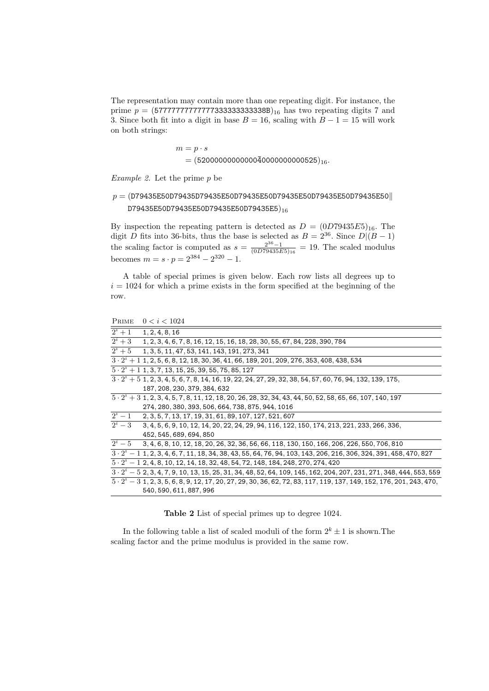The representation may contain more than one repeating digit. For instance, the prime  $p = (577777777777773333333333388B)_{16}$  has two repeating digits 7 and 3. Since both fit into a digit in base  $B = 16$ , scaling with  $B - 1 = 15$  will work on both strings:

$$
m = p \cdot s
$$
  
= (52000000000000040000000000525)<sub>16</sub>.

Example 2. Let the prime  $p$  be

## $p = ($ D79435E50D79435D79435E50D79435E50D79435E50D79435E50 $||$ D79435E50D79435E50D79435E50D79435E5)<sub>16</sub>

By inspection the repeating pattern is detected as  $D = (0D79435E5)_{16}$ . The digit D fits into 36-bits, thus the base is selected as  $B = 2^{36}$ . Since  $D|(B-1)$ the scaling factor is computed as  $s = \frac{2^{36}-1}{(0D79435E5)_{16}} = 19$ . The scaled modulus becomes  $m = s \cdot p = 2^{384} - 2^{320} - 1$ .

A table of special primes is given below. Each row lists all degrees up to  $i = 1024$  for which a prime exists in the form specified at the beginning of the row.

PRIME  $0 < i < 1024$ 

| $2^{i}+1$   | 1, 2, 4, 8, 16                                                                                                             |
|-------------|----------------------------------------------------------------------------------------------------------------------------|
| $2^{i}+3$   | 1, 2, 3, 4, 6, 7, 8, 16, 12, 15, 16, 18, 28, 30, 55, 67, 84, 228, 390, 784                                                 |
| $2^{i}+5$   | 1, 3, 5, 11, 47, 53, 141, 143, 191, 273, 341                                                                               |
|             | $3 \cdot 2^{i} + 1$ 1, 2, 5, 6, 8, 12, 18, 30, 36, 41, 66, 189, 201, 209, 276, 353, 408, 438, 534                          |
|             | $\overline{5\cdot 2^i + 1\,1,3}, 7, 13, 15, 25, 39, 55, 75, 85, 127$                                                       |
|             | $3 \cdot 2^{i} + 5$ 1, 2, 3, 4, 5, 6, 7, 8, 14, 16, 19, 22, 24, 27, 29, 32, 38, 54, 57, 60, 76, 94, 132, 139, 175,         |
|             | 187, 208, 230, 379, 384, 632                                                                                               |
|             |                                                                                                                            |
|             | 274, 280, 380, 393, 506, 664, 738, 875, 944, 1016                                                                          |
| $2^{i} - 1$ | 2, 3, 5, 7, 13, 17, 19, 31, 61, 89, 107, 127, 521, 607                                                                     |
| $2^i-3$     | 3, 4, 5, 6, 9, 10, 12, 14, 20, 22, 24, 29, 94, 116, 122, 150, 174, 213, 221, 233, 266, 336,                                |
|             | 452, 545, 689, 694, 850                                                                                                    |
| $2^i-5$     | 3, 4, 6, 8, 10, 12, 18, 20, 26, 32, 36, 56, 66, 118, 130, 150, 166, 206, 226, 550, 706, 810                                |
|             | $3 \cdot 2^i - 1$ 1, 2, 3, 4, 6, 7, 11, 18, 34, 38, 43, 55, 64, 76, 94, 103, 143, 206, 216, 306, 324, 391, 458, 470, 827   |
|             | $5 \cdot 2^{i} - 1$ 2, 4, 8, 10, 12, 14, 18, 32, 48, 54, 72, 148, 184, 248, 270, 274, 420                                  |
|             | $3 \cdot 2^i - 5$ 2, 3, 4, 7, 9, 10, 13, 15, 25, 31, 34, 48, 52, 64, 109, 145, 162, 204, 207, 231, 271, 348, 444, 553, 559 |
|             | $\frac{1}{3}\cdot 2^i-3\ \overline{1,2,3,5,6,8,9,12,17,20,27,29,30,36,62,72,83,117,119,137,149,152,176,201,243,470,$       |
|             | 540, 590, 611, 887, 996                                                                                                    |
|             |                                                                                                                            |

Table 2 List of special primes up to degree 1024.

In the following table a list of scaled moduli of the form  $2^k \pm 1$  is shown. The scaling factor and the prime modulus is provided in the same row.